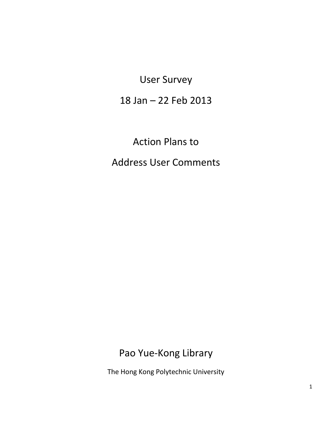User Survey

18 Jan – 22 Feb 2013

Action Plans to

Address User Comments

Pao Yue-Kong Library

The Hong Kong Polytechnic University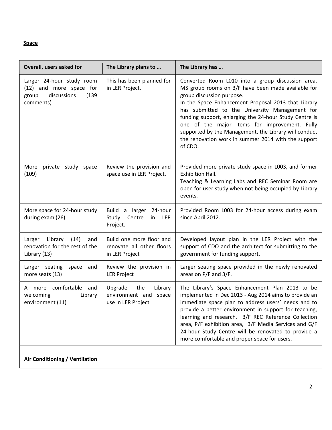#### **Space**

| Overall, users asked for                                                                           | The Library plans to                                                     | The Library has                                                                                                                                                                                                                                                                                                                                                                                                                                                                     |
|----------------------------------------------------------------------------------------------------|--------------------------------------------------------------------------|-------------------------------------------------------------------------------------------------------------------------------------------------------------------------------------------------------------------------------------------------------------------------------------------------------------------------------------------------------------------------------------------------------------------------------------------------------------------------------------|
| Larger 24-hour study room<br>(12) and more space for<br>discussions<br>(139)<br>group<br>comments) | This has been planned for<br>in LER Project.                             | Converted Room L010 into a group discussion area.<br>MS group rooms on 3/F have been made available for<br>group discussion purpose.<br>In the Space Enhancement Proposal 2013 that Library<br>has submitted to the University Management for<br>funding support, enlarging the 24-hour Study Centre is<br>one of the major items for improvement. Fully<br>supported by the Management, the Library will conduct<br>the renovation work in summer 2014 with the support<br>of CDO. |
| More<br>private study space<br>(109)                                                               | Review the provision and<br>space use in LER Project.                    | Provided more private study space in L003, and former<br>Exhibition Hall.<br>Teaching & Learning Labs and REC Seminar Room are<br>open for user study when not being occupied by Library<br>events.                                                                                                                                                                                                                                                                                 |
| More space for 24-hour study<br>during exam (26)                                                   | Build a larger 24-hour<br>Study<br>Centre<br>LER<br>in<br>Project.       | Provided Room L003 for 24-hour access during exam<br>since April 2012.                                                                                                                                                                                                                                                                                                                                                                                                              |
| Larger<br>Library<br>(14)<br>and<br>renovation for the rest of the<br>Library (13)                 | Build one more floor and<br>renovate all other floors<br>in LER Project  | Developed layout plan in the LER Project with the<br>support of CDO and the architect for submitting to the<br>government for funding support.                                                                                                                                                                                                                                                                                                                                      |
| Larger seating<br>space<br>and<br>more seats (13)                                                  | Review the provision in<br><b>LER Project</b>                            | Larger seating space provided in the newly renovated<br>areas on P/F and 3/F.                                                                                                                                                                                                                                                                                                                                                                                                       |
| A more comfortable and<br>welcoming<br>Library<br>environment (11)                                 | Upgrade<br>the<br>Library<br>environment and space<br>use in LER Project | The Library's Space Enhancement Plan 2013 to be<br>implemented in Dec 2013 - Aug 2014 aims to provide an<br>immediate space plan to address users' needs and to<br>provide a better environment in support for teaching,<br>learning and research. 3/F REC Reference Collection<br>area, P/F exhibition area, 3/F Media Services and G/F<br>24-hour Study Centre will be renovated to provide a<br>more comfortable and proper space for users.                                     |

**Air Conditioning / Ventilation**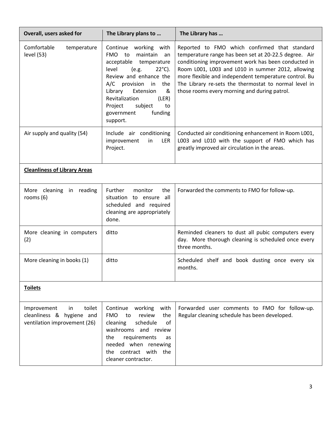| Overall, users asked for                                                                  | The Library plans to                                                                                                                                                                                                                                                                                         | The Library has                                                                                                                                                                                                                                                                                                                                                                      |
|-------------------------------------------------------------------------------------------|--------------------------------------------------------------------------------------------------------------------------------------------------------------------------------------------------------------------------------------------------------------------------------------------------------------|--------------------------------------------------------------------------------------------------------------------------------------------------------------------------------------------------------------------------------------------------------------------------------------------------------------------------------------------------------------------------------------|
| Comfortable<br>temperature<br>level (53)                                                  | Continue working<br>with<br>maintain<br><b>FMO</b><br>to<br>an<br>acceptable temperature<br>level<br>(e.g.<br>$22^{\circ}$ C).<br>Review and enhance the<br>A/C provision in<br>the<br>&<br>Library<br>Extension<br>Revitalization<br>(LER)<br>Project<br>subject<br>to<br>funding<br>government<br>support. | Reported to FMO which confirmed that standard<br>temperature range has been set at 20-22.5 degree. Air<br>conditioning improvement work has been conducted in<br>Room L001, L003 and L010 in summer 2012, allowing<br>more flexible and independent temperature control. Bu<br>The Library re-sets the thermostat to normal level in<br>those rooms every morning and during patrol. |
| Air supply and quality (54)                                                               | Include air conditioning<br>improvement<br>LER<br>in<br>Project.                                                                                                                                                                                                                                             | Conducted air conditioning enhancement in Room L001,<br>L003 and L010 with the support of FMO which has<br>greatly improved air circulation in the areas.                                                                                                                                                                                                                            |
| <b>Cleanliness of Library Areas</b>                                                       |                                                                                                                                                                                                                                                                                                              |                                                                                                                                                                                                                                                                                                                                                                                      |
| More cleaning in reading<br>rooms $(6)$                                                   | Further<br>monitor<br>the<br>situation<br>to ensure all<br>scheduled and required<br>cleaning are appropriately<br>done.                                                                                                                                                                                     | Forwarded the comments to FMO for follow-up.                                                                                                                                                                                                                                                                                                                                         |
| More cleaning in computers<br>(2)                                                         | ditto                                                                                                                                                                                                                                                                                                        | Reminded cleaners to dust all pubic computers every<br>day. More thorough cleaning is scheduled once every<br>three months.                                                                                                                                                                                                                                                          |
| More cleaning in books (1)                                                                | ditto                                                                                                                                                                                                                                                                                                        | Scheduled shelf and book dusting once every six<br>months.                                                                                                                                                                                                                                                                                                                           |
| <b>Toilets</b>                                                                            |                                                                                                                                                                                                                                                                                                              |                                                                                                                                                                                                                                                                                                                                                                                      |
| toilet<br>Improvement<br>in.<br>cleanliness & hygiene and<br>ventilation improvement (26) | Continue<br>working<br>with<br><b>FMO</b><br>review<br>to<br>the<br>of<br>cleaning<br>schedule<br>washrooms and review<br>requirements<br>the<br>as<br>needed when renewing<br>the contract with the<br>cleaner contractor.                                                                                  | Forwarded user comments to FMO for follow-up.<br>Regular cleaning schedule has been developed.                                                                                                                                                                                                                                                                                       |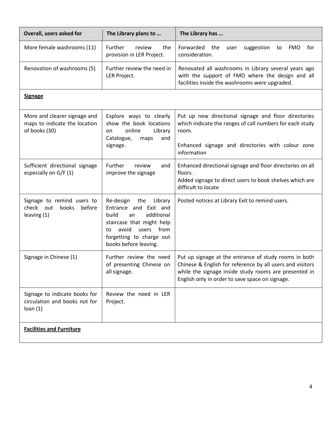| Overall, users asked for                                                       | The Library plans to                                                                                                                                                                                | The Library has                                                                                                                                                                                                                |
|--------------------------------------------------------------------------------|-----------------------------------------------------------------------------------------------------------------------------------------------------------------------------------------------------|--------------------------------------------------------------------------------------------------------------------------------------------------------------------------------------------------------------------------------|
| More female washrooms (11)                                                     | Further<br>review<br>the<br>provision in LER Project.                                                                                                                                               | Forwarded<br>the<br><b>FMO</b><br>for<br>suggestion<br>user<br>to<br>consideration.                                                                                                                                            |
| Renovation of washrooms (5)                                                    | Further review the need in<br>LER Project.                                                                                                                                                          | Renovated all washrooms in Library several years ago<br>with the support of FMO where the design and all<br>facilities inside the washrooms were upgraded.                                                                     |
| <b>Signage</b>                                                                 |                                                                                                                                                                                                     |                                                                                                                                                                                                                                |
| More and clearer signage and<br>maps to indicate the location<br>of books (30) | Explore ways to clearly<br>show the book locations<br>online<br>Library<br>on<br>Catalogue,<br>and<br>maps<br>signage.                                                                              | Put up new directional signage and floor directories<br>which indicate the ranges of call numbers for each study<br>room.<br>Enhanced signage and directories with colour zone<br>information                                  |
| Sufficient directional signage<br>especially on G/F (1)                        | Further<br>review<br>and<br>improve the signage                                                                                                                                                     | Enhanced directional signage and floor directories on all<br>floors.<br>Added signage to direct users to book shelves which are<br>difficult to locate                                                                         |
| Signage to remind users to<br>check out<br>books<br>before<br>leaving $(1)$    | the<br>Library<br>Re-design<br>Entrance and Exit and<br>build<br>additional<br>an<br>staircase that might help<br>users<br>from<br>avoid<br>to<br>forgetting to charge out<br>books before leaving. | Posted notices at Library Exit to remind users.                                                                                                                                                                                |
| Signage in Chinese (1)                                                         | Further review the need<br>of presenting Chinese on<br>all signage.                                                                                                                                 | Put up signage at the entrance of study rooms in both<br>Chinese & English for reference by all users and visitors<br>while the signage inside study rooms are presented in<br>English only in order to save space on signage. |
| Signage to indicate books for<br>circulation and books not for<br>loan(1)      | Review the need in LER<br>Project.                                                                                                                                                                  |                                                                                                                                                                                                                                |
| <b>Facilities and Furniture</b>                                                |                                                                                                                                                                                                     |                                                                                                                                                                                                                                |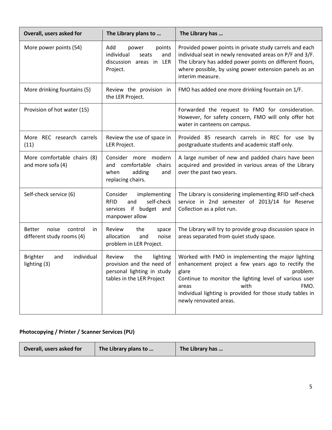| Overall, users asked for                                             | The Library plans to                                                                                              | The Library has                                                                                                                                                                                                                                                                                         |
|----------------------------------------------------------------------|-------------------------------------------------------------------------------------------------------------------|---------------------------------------------------------------------------------------------------------------------------------------------------------------------------------------------------------------------------------------------------------------------------------------------------------|
| More power points (54)                                               | Add<br>power<br>points<br>individual<br>and<br>seats<br>discussion areas in LER<br>Project.                       | Provided power points in private study carrels and each<br>individual seat in newly renovated areas on P/F and 3/F.<br>The Library has added power points on different floors,<br>where possible, by using power extension panels as an<br>interim measure.                                             |
| More drinking fountains (5)                                          | Review the provision in<br>the LER Project.                                                                       | FMO has added one more drinking fountain on 1/F.                                                                                                                                                                                                                                                        |
| Provision of hot water (15)                                          |                                                                                                                   | Forwarded the request to FMO for consideration.<br>However, for safety concern, FMO will only offer hot<br>water in canteens on campus.                                                                                                                                                                 |
| More REC research carrels<br>(11)                                    | Review the use of space in<br>LER Project.                                                                        | Provided 85 research carrels in REC for use by<br>postgraduate students and academic staff only.                                                                                                                                                                                                        |
| More comfortable chairs (8)<br>and more sofa (4)                     | Consider more modern<br>and comfortable<br>chairs<br>adding<br>when<br>and<br>replacing chairs.                   | A large number of new and padded chairs have been<br>acquired and provided in various areas of the Library<br>over the past two years.                                                                                                                                                                  |
| Self-check service (6)                                               | Consider<br>implementing<br>self-check<br><b>RFID</b><br>and<br>services if budget and<br>manpower allow          | The Library is considering implementing RFID self-check<br>service in 2nd semester of 2013/14 for Reserve<br>Collection as a pilot run.                                                                                                                                                                 |
| noise<br><b>Better</b><br>control<br>in<br>different study rooms (4) | Review<br>the<br>space<br>allocation<br>and<br>noise<br>problem in LER Project.                                   | The Library will try to provide group discussion space in<br>areas separated from quiet study space.                                                                                                                                                                                                    |
| <b>Brighter</b><br>individual<br>and<br>lighting (3)                 | Review<br>the<br>lighting<br>provision and the need of<br>personal lighting in study<br>tables in the LER Project | Worked with FMO in implementing the major lighting<br>enhancement project a few years ago to rectify the<br>problem.<br>glare<br>Continue to monitor the lighting level of various user<br>with<br>FMO.<br>areas<br>Individual lighting is provided for those study tables in<br>newly renovated areas. |

## **Photocopying / Printer / Scanner Services (PU)**

| Overall, users asked for | The Library plans to | The Library has |
|--------------------------|----------------------|-----------------|
|--------------------------|----------------------|-----------------|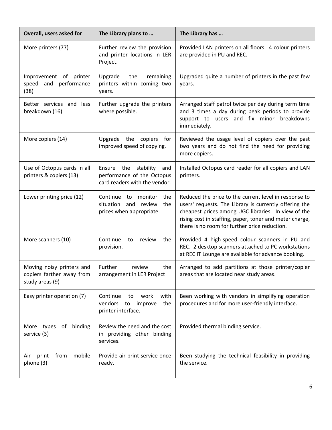| Overall, users asked for                                                  | The Library plans to                                                                              | The Library has                                                                                                                                                                                                                                                                    |
|---------------------------------------------------------------------------|---------------------------------------------------------------------------------------------------|------------------------------------------------------------------------------------------------------------------------------------------------------------------------------------------------------------------------------------------------------------------------------------|
| More printers (77)                                                        | Further review the provision<br>and printer locations in LER<br>Project.                          | Provided LAN printers on all floors. 4 colour printers<br>are provided in PU and REC.                                                                                                                                                                                              |
| Improvement of printer<br>and performance<br>speed<br>(38)                | Upgrade<br>the<br>remaining<br>printers within coming two<br>years.                               | Upgraded quite a number of printers in the past few<br>years.                                                                                                                                                                                                                      |
| Better services and less<br>breakdown (16)                                | Further upgrade the printers<br>where possible.                                                   | Arranged staff patrol twice per day during term time<br>and 3 times a day during peak periods to provide<br>support to users and fix minor breakdowns<br>immediately.                                                                                                              |
| More copiers (14)                                                         | Upgrade the copiers<br>for<br>improved speed of copying.                                          | Reviewed the usage level of copiers over the past<br>two years and do not find the need for providing<br>more copiers.                                                                                                                                                             |
| Use of Octopus cards in all<br>printers & copiers (13)                    | Ensure the stability<br>and<br>performance of the Octopus<br>card readers with the vendor.        | Installed Octopus card reader for all copiers and LAN<br>printers.                                                                                                                                                                                                                 |
| Lower printing price (12)                                                 | the<br>Continue<br>to<br>monitor<br>situation<br>the<br>and<br>review<br>prices when appropriate. | Reduced the price to the current level in response to<br>users' requests. The Library is currently offering the<br>cheapest prices among UGC libraries. In view of the<br>rising cost in staffing, paper, toner and meter charge,<br>there is no room for further price reduction. |
| More scanners (10)                                                        | Continue<br>review<br>the<br>to<br>provision.                                                     | Provided 4 high-speed colour scanners in PU and<br>REC. 2 desktop scanners attached to PC workstations<br>at REC IT Lounge are available for advance booking.                                                                                                                      |
| Moving noisy printers and<br>copiers farther away from<br>study areas (9) | Further<br>review<br>the<br>arrangement in LER Project                                            | Arranged to add partitions at those printer/copier<br>areas that are located near study areas.                                                                                                                                                                                     |
| Easy printer operation (7)                                                | Continue<br>work<br>with<br>to<br>vendors<br>the<br>to<br>improve<br>printer interface.           | Been working with vendors in simplifying operation<br>procedures and for more user-friendly interface.                                                                                                                                                                             |
| binding<br>More types<br>of<br>service (3)                                | Review the need and the cost<br>in providing other binding<br>services.                           | Provided thermal binding service.                                                                                                                                                                                                                                                  |
| print<br>mobile<br>from<br>Air<br>phone (3)                               | Provide air print service once<br>ready.                                                          | Been studying the technical feasibility in providing<br>the service.                                                                                                                                                                                                               |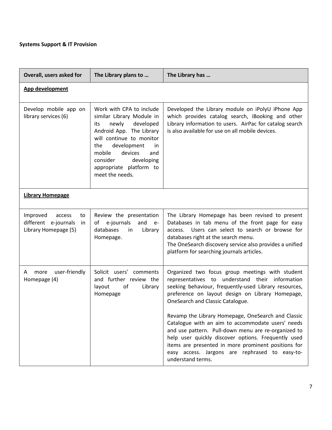#### **Systems Support & IT Provision**

| Overall, users asked for                                                       | The Library plans to                                                                                                                                                                                                                                                        | The Library has                                                                                                                                                                                                                                                                                                                                     |
|--------------------------------------------------------------------------------|-----------------------------------------------------------------------------------------------------------------------------------------------------------------------------------------------------------------------------------------------------------------------------|-----------------------------------------------------------------------------------------------------------------------------------------------------------------------------------------------------------------------------------------------------------------------------------------------------------------------------------------------------|
| App development                                                                |                                                                                                                                                                                                                                                                             |                                                                                                                                                                                                                                                                                                                                                     |
| Develop mobile app on<br>library services (6)                                  | Work with CPA to include<br>similar Library Module in<br>newly<br>developed<br>its<br>Android App. The Library<br>will continue to monitor<br>development<br>the<br>in.<br>mobile<br>devices<br>and<br>consider<br>developing<br>appropriate platform to<br>meet the needs. | Developed the Library module on iPolyU iPhone App<br>which provides catalog search, iBooking and other<br>Library information to users. AirPac for catalog search<br>is also available for use on all mobile devices.                                                                                                                               |
| <b>Library Homepage</b>                                                        |                                                                                                                                                                                                                                                                             |                                                                                                                                                                                                                                                                                                                                                     |
| Improved<br>access<br>to<br>different e-journals<br>in<br>Library Homepage (5) | Review the presentation<br>of e-journals<br>and<br>$e-$<br>databases<br>Library<br>in<br>Homepage.                                                                                                                                                                          | The Library Homepage has been revised to present<br>Databases in tab menu of the front page for easy<br>access. Users can select to search or browse for<br>databases right at the search menu.<br>The OneSearch discovery service also provides a unified<br>platform for searching journals articles.                                             |
| user-friendly<br>more<br>A<br>Homepage (4)                                     | Solicit users' comments<br>and further review the<br>layout<br>of<br>Library<br>Homepage                                                                                                                                                                                    | Organized two focus group meetings with student<br>representatives to understand their information<br>seeking behaviour, frequently-used Library resources,<br>preference on layout design on Library Homepage,<br>OneSearch and Classic Catalogue.                                                                                                 |
|                                                                                |                                                                                                                                                                                                                                                                             | Revamp the Library Homepage, OneSearch and Classic<br>Catalogue with an aim to accommodate users' needs<br>and use pattern. Pull-down menu are re-organized to<br>help user quickly discover options. Frequently used<br>items are presented in more prominent positions for<br>easy access. Jargons are rephrased to easy-to-<br>understand terms. |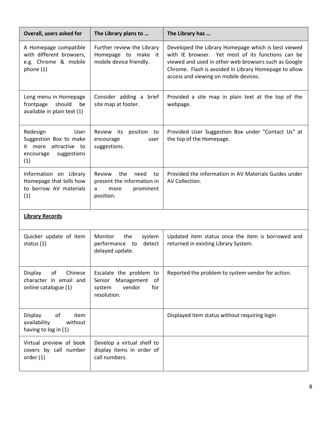| Overall, users asked for                                                                               | The Library plans to                                                                             | The Library has                                                                                                                                                                                                                                                    |
|--------------------------------------------------------------------------------------------------------|--------------------------------------------------------------------------------------------------|--------------------------------------------------------------------------------------------------------------------------------------------------------------------------------------------------------------------------------------------------------------------|
| A Homepage compatible<br>with different browsers,<br>e.g. Chrome & mobile<br>phone (1)                 | Further review the Library<br>Homepage to make it<br>mobile device friendly.                     | Developed the Library Homepage which is best viewed<br>with IE browser. Yet most of its functions can be<br>viewed and used in other web browsers such as Google<br>Chrome. Flash is avoided in Library Homepage to allow<br>access and viewing on mobile devices. |
| Long menu in Homepage<br>should<br>frontpage<br>be<br>available in plain text (1)                      | Consider adding a brief<br>site map at footer.                                                   | Provided a site map in plain text at the top of the<br>webpage.                                                                                                                                                                                                    |
| Redesign<br>User<br>Suggestion Box to make<br>it more attractive to<br>suggestions<br>encourage<br>(1) | Review its<br>position to<br>encourage<br>user<br>suggestions.                                   | Provided User Suggestion Box under "Contact Us" at<br>the top of the Homepage.                                                                                                                                                                                     |
| Information on Library<br>Homepage that tells how<br>to borrow AV materials<br>(1)                     | Review<br>the<br>need<br>to<br>present the information in<br>prominent<br>more<br>a<br>position. | Provided the information in AV Materials Guides under<br>AV Collection.                                                                                                                                                                                            |
| <b>Library Records</b>                                                                                 |                                                                                                  |                                                                                                                                                                                                                                                                    |
| Quicker update of item<br>status (1)                                                                   | Monitor<br>the<br>system<br>performance to<br>detect<br>delayed update.                          | Updated item status once the item is borrowed and<br>returned in existing Library System.                                                                                                                                                                          |
| Display<br>Chinese<br>of<br>character in email and<br>online catalogue (1)                             | Escalate the problem to<br>Management<br>of<br>Senior<br>vendor<br>for<br>system<br>resolution.  | Reported the problem to system vendor for action.                                                                                                                                                                                                                  |
| оf<br>Display<br>item<br>availability<br>without<br>having to log in (1)                               |                                                                                                  | Displayed item status without requiring login                                                                                                                                                                                                                      |
| Virtual preview of book<br>covers by call number<br>order(1)                                           | Develop a virtual shelf to<br>display items in order of<br>call numbers.                         |                                                                                                                                                                                                                                                                    |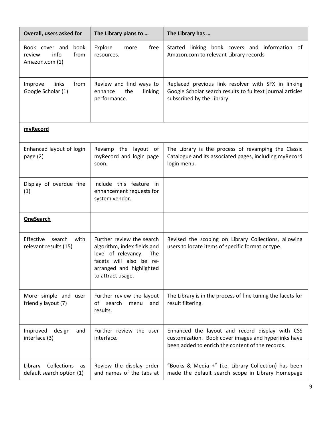| Overall, users asked for                                           | The Library plans to                                                                                                                                               | The Library has                                                                                                                                             |
|--------------------------------------------------------------------|--------------------------------------------------------------------------------------------------------------------------------------------------------------------|-------------------------------------------------------------------------------------------------------------------------------------------------------------|
| Book cover and<br>book<br>info<br>review<br>from<br>Amazon.com (1) | Explore<br>free<br>more<br>resources.                                                                                                                              | Started linking book covers and information of<br>Amazon.com to relevant Library records                                                                    |
| Improve<br>links<br>from<br>Google Scholar (1)                     | Review and find ways to<br>the<br>enhance<br>linking<br>performance.                                                                                               | Replaced previous link resolver with SFX in linking<br>Google Scholar search results to fulltext journal articles<br>subscribed by the Library.             |
| myRecord                                                           |                                                                                                                                                                    |                                                                                                                                                             |
| Enhanced layout of login<br>page $(2)$                             | Revamp the layout of<br>myRecord and login page<br>soon.                                                                                                           | The Library is the process of revamping the Classic<br>Catalogue and its associated pages, including myRecord<br>login menu.                                |
| Display of overdue fine<br>(1)                                     | Include this feature<br>in<br>enhancement requests for<br>system vendor.                                                                                           |                                                                                                                                                             |
| <b>OneSearch</b>                                                   |                                                                                                                                                                    |                                                                                                                                                             |
| Effective<br>search<br>with<br>relevant results (15)               | Further review the search<br>algorithm, index fields and<br>level of relevancy.<br>The<br>facets will also be re-<br>arranged and highlighted<br>to attract usage. | Revised the scoping on Library Collections, allowing<br>users to locate items of specific format or type.                                                   |
| More simple and user<br>friendly layout (7)                        | Further review the layout<br>search<br>of<br>menu<br>and<br>results.                                                                                               | The Library is in the process of fine tuning the facets for<br>result filtering.                                                                            |
| Improved<br>design<br>and<br>interface (3)                         | Further review the user<br>interface.                                                                                                                              | Enhanced the layout and record display with CSS<br>customization. Book cover images and hyperlinks have<br>been added to enrich the content of the records. |
| Collections<br>Library<br>as<br>default search option (1)          | Review the display order<br>and names of the tabs at                                                                                                               | "Books & Media +" (i.e. Library Collection) has been<br>made the default search scope in Library Homepage                                                   |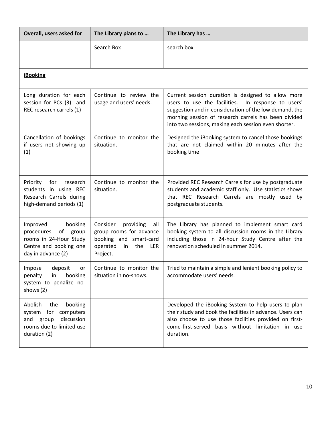| Overall, users asked for                                                                                                 | The Library plans to                                                                                                       | The Library has                                                                                                                                                                                                                                                                       |
|--------------------------------------------------------------------------------------------------------------------------|----------------------------------------------------------------------------------------------------------------------------|---------------------------------------------------------------------------------------------------------------------------------------------------------------------------------------------------------------------------------------------------------------------------------------|
|                                                                                                                          | Search Box                                                                                                                 | search box.                                                                                                                                                                                                                                                                           |
|                                                                                                                          |                                                                                                                            |                                                                                                                                                                                                                                                                                       |
| <b>iBooking</b>                                                                                                          |                                                                                                                            |                                                                                                                                                                                                                                                                                       |
| Long duration for each<br>session for PCs (3) and<br>REC research carrels (1)                                            | Continue to review the<br>usage and users' needs.                                                                          | Current session duration is designed to allow more<br>users to use the facilities.<br>In response to users'<br>suggestion and in consideration of the low demand, the<br>morning session of research carrels has been divided<br>into two sessions, making each session even shorter. |
| Cancellation of bookings<br>if users not showing up<br>(1)                                                               | Continue to monitor the<br>situation.                                                                                      | Designed the iBooking system to cancel those bookings<br>that are not claimed within 20 minutes after the<br>booking time                                                                                                                                                             |
| research<br>Priority<br>for<br>students in using REC<br>Research Carrels during<br>high-demand periods (1)               | Continue to monitor the<br>situation.                                                                                      | Provided REC Research Carrels for use by postgraduate<br>students and academic staff only. Use statistics shows<br>that REC Research Carrels are mostly used by<br>postgraduate students.                                                                                             |
| Improved<br>booking<br>procedures<br>of group<br>rooms in 24-Hour Study<br>Centre and booking one<br>day in advance (2)  | Consider<br>providing<br>all<br>group rooms for advance<br>booking and smart-card<br>operated<br>in the<br>LER<br>Project. | The Library has planned to implement smart card<br>booking system to all discussion rooms in the Library<br>including those in 24-hour Study Centre after the<br>renovation scheduled in summer 2014.                                                                                 |
| deposit<br>Impose<br>or<br>booking<br>penalty<br>in<br>system to penalize no-<br>shows (2)                               | Continue to monitor the<br>situation in no-shows.                                                                          | Tried to maintain a simple and lenient booking policy to<br>accommodate users' needs.                                                                                                                                                                                                 |
| Abolish<br>the<br>booking<br>system for computers<br>discussion<br>and group<br>rooms due to limited use<br>duration (2) |                                                                                                                            | Developed the iBooking System to help users to plan<br>their study and book the facilities in advance. Users can<br>also choose to use those facilities provided on first-<br>come-first-served basis without limitation in use<br>duration.                                          |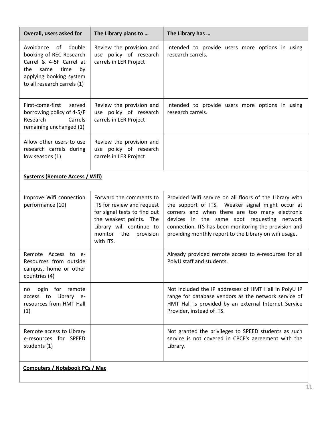| Overall, users asked for                                                                                                                                         | The Library plans to                                                                                                                                                                  | The Library has                                                                                                                                                                                                                                                                                                                 |
|------------------------------------------------------------------------------------------------------------------------------------------------------------------|---------------------------------------------------------------------------------------------------------------------------------------------------------------------------------------|---------------------------------------------------------------------------------------------------------------------------------------------------------------------------------------------------------------------------------------------------------------------------------------------------------------------------------|
| Avoidance of double<br>booking of REC Research<br>Carrel & 4-5F Carrel at<br>the<br>same<br>time<br>by<br>applying booking system<br>to all research carrels (1) | Review the provision and<br>use policy of research<br>carrels in LER Project                                                                                                          | Intended to provide users more options in using<br>research carrels.                                                                                                                                                                                                                                                            |
| First-come-first<br>served<br>borrowing policy of 4-5/F<br>Research<br>Carrels<br>remaining unchanged (1)                                                        | Review the provision and<br>use policy of research<br>carrels in LER Project                                                                                                          | Intended to provide users more options in using<br>research carrels.                                                                                                                                                                                                                                                            |
| Allow other users to use<br>research carrels during<br>low seasons (1)                                                                                           | Review the provision and<br>use policy of research<br>carrels in LER Project                                                                                                          |                                                                                                                                                                                                                                                                                                                                 |
| <b>Systems (Remote Access / Wifi)</b>                                                                                                                            |                                                                                                                                                                                       |                                                                                                                                                                                                                                                                                                                                 |
| Improve Wifi connection<br>performance (10)                                                                                                                      | Forward the comments to<br>ITS for review and request<br>for signal tests to find out<br>the weakest points. The<br>Library will continue to<br>monitor the<br>provision<br>with ITS. | Provided Wifi service on all floors of the Library with<br>the support of ITS. Weaker signal might occur at<br>corners and when there are too many electronic<br>devices in the same spot requesting network<br>connection. ITS has been monitoring the provision and<br>providing monthly report to the Library on wifi usage. |
| Remote Access to e-<br>Resources from outside<br>campus, home or other<br>countries (4)                                                                          |                                                                                                                                                                                       | Already provided remote access to e-resources for all<br>PolyU staff and students.                                                                                                                                                                                                                                              |
| login for remote<br>no<br>access to Library e-<br>resources from HMT Hall<br>(1)                                                                                 |                                                                                                                                                                                       | Not included the IP addresses of HMT Hall in PolyU IP<br>range for database vendors as the network service of<br>HMT Hall is provided by an external Internet Service<br>Provider, instead of ITS.                                                                                                                              |
| Remote access to Library<br>e-resources for SPEED<br>students (1)                                                                                                |                                                                                                                                                                                       | Not granted the privileges to SPEED students as such<br>service is not covered in CPCE's agreement with the<br>Library.                                                                                                                                                                                                         |
| <b>Computers / Notebook PCs / Mac</b>                                                                                                                            |                                                                                                                                                                                       |                                                                                                                                                                                                                                                                                                                                 |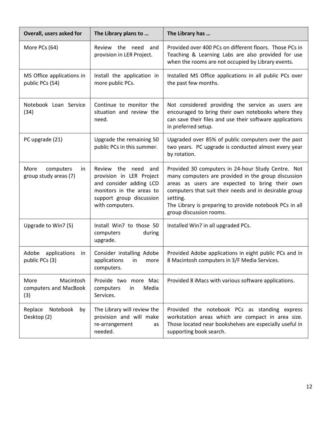| Overall, users asked for                          | The Library plans to                                                                                                                                     | The Library has                                                                                                                                                                                                                                                                                                         |
|---------------------------------------------------|----------------------------------------------------------------------------------------------------------------------------------------------------------|-------------------------------------------------------------------------------------------------------------------------------------------------------------------------------------------------------------------------------------------------------------------------------------------------------------------------|
| More PCs (64)                                     | Review the need<br>and<br>provision in LER Project.                                                                                                      | Provided over 400 PCs on different floors. Those PCs in<br>Teaching & Learning Labs are also provided for use<br>when the rooms are not occupied by Library events.                                                                                                                                                     |
| MS Office applications in<br>public PCs (54)      | Install the application in<br>more public PCs.                                                                                                           | Installed MS Office applications in all public PCs over<br>the past few months.                                                                                                                                                                                                                                         |
| Notebook Loan Service<br>(34)                     | Continue to monitor the<br>situation and review the<br>need.                                                                                             | Not considered providing the service as users are<br>encouraged to bring their own notebooks where they<br>can save their files and use their software applications<br>in preferred setup.                                                                                                                              |
| PC upgrade (21)                                   | Upgrade the remaining 50<br>public PCs in this summer.                                                                                                   | Upgraded over 85% of public computers over the past<br>two years. PC upgrade is conducted almost every year<br>by rotation.                                                                                                                                                                                             |
| More<br>computers<br>in<br>group study areas (7)  | Review the need<br>and<br>provision in LER Project<br>and consider adding LCD<br>monitors in the areas to<br>support group discussion<br>with computers. | Provided 30 computers in 24-hour Study Centre. Not<br>many computers are provided in the group discussion<br>areas as users are expected to bring their own<br>computers that suit their needs and in desirable group<br>setting.<br>The Library is preparing to provide notebook PCs in all<br>group discussion rooms. |
| Upgrade to Win7 (5)                               | Install Win7 to those 50<br>computers<br>during<br>upgrade.                                                                                              | Installed Win7 in all upgraded PCs.                                                                                                                                                                                                                                                                                     |
| Adobe applications<br>in<br>public PCs (3)        | Consider installing Adobe<br>applications<br>in<br>more<br>computers.                                                                                    | Provided Adobe applications in eight public PCs and in<br>8 Macintosh computers in 3/F Media Services.                                                                                                                                                                                                                  |
| More<br>Macintosh<br>computers and MacBook<br>(3) | Provide two more Mac<br>Media<br>computers<br>in<br>Services.                                                                                            | Provided 8 iMacs with various software applications.                                                                                                                                                                                                                                                                    |
| Notebook<br>Replace<br>by<br>Desktop (2)          | The Library will review the<br>provision and will make<br>re-arrangement<br>as<br>needed.                                                                | Provided the notebook PCs as standing express<br>workstation areas which are compact in area size.<br>Those located near bookshelves are especially useful in<br>supporting book search.                                                                                                                                |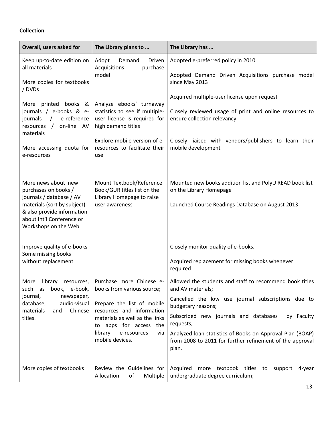#### **Collection**

| Overall, users asked for                                                                                                                                                                            | The Library plans to                                                                                                                                                                                                              | The Library has                                                                                                                                                                                                                                                                                                                                                |
|-----------------------------------------------------------------------------------------------------------------------------------------------------------------------------------------------------|-----------------------------------------------------------------------------------------------------------------------------------------------------------------------------------------------------------------------------------|----------------------------------------------------------------------------------------------------------------------------------------------------------------------------------------------------------------------------------------------------------------------------------------------------------------------------------------------------------------|
| Keep up-to-date edition on<br>all materials<br>More copies for textbooks<br>/ DVDs                                                                                                                  | Adopt<br>Demand<br>Driven<br>Acquisitions<br>purchase<br>model                                                                                                                                                                    | Adopted e-preferred policy in 2010<br>Adopted Demand Driven Acquisitions purchase model<br>since May 2013                                                                                                                                                                                                                                                      |
| printed books &<br>More<br>journals / e-books & e-<br>journals<br>$\frac{1}{2}$<br>e-reference<br>$\overline{1}$<br>on-line AV<br>resources<br>materials<br>More accessing quota for<br>e-resources | Analyze ebooks' turnaway<br>statistics to see if multiple-<br>user license is required for<br>high demand titles<br>Explore mobile version of e-<br>resources to facilitate their<br>use                                          | Acquired multiple-user license upon request<br>Closely reviewed usage of print and online resources to<br>ensure collection relevancy<br>Closely liaised with vendors/publishers to learn their<br>mobile development                                                                                                                                          |
| More news about new<br>purchases on books /<br>journals / database / AV<br>materials (sort by subject)<br>& also provide information<br>about Int'l Conference or<br>Workshops on the Web           | Mount Textbook/Reference<br>Book/GUR titles list on the<br>Library Homepage to raise<br>user awareness                                                                                                                            | Mounted new books addition list and PolyU READ book list<br>on the Library Homepage<br>Launched Course Readings Database on August 2013                                                                                                                                                                                                                        |
| Improve quality of e-books<br>Some missing books<br>without replacement                                                                                                                             |                                                                                                                                                                                                                                   | Closely monitor quality of e-books.<br>Acquired replacement for missing books whenever<br>required                                                                                                                                                                                                                                                             |
| More<br>library<br>resources,<br>such as<br>book, e-book,<br>journal,<br>newspaper,<br>audio-visual<br>database,<br>Chinese<br>materials<br>and<br>titles.                                          | Purchase more Chinese e-<br>books from various source;<br>Prepare the list of mobile<br>resources and information<br>materials as well as the links<br>to apps for access the<br>library<br>e-resources<br>via<br>mobile devices. | Allowed the students and staff to recommend book titles<br>and AV materials;<br>Cancelled the low use journal subscriptions due to<br>budgetary reasons;<br>Subscribed new journals and databases<br>by Faculty<br>requests;<br>Analyzed Ioan statistics of Books on Approval Plan (BOAP)<br>from 2008 to 2011 for further refinement of the approval<br>plan. |
| More copies of textbooks                                                                                                                                                                            | Review the Guidelines for<br>Allocation<br>of<br>Multiple                                                                                                                                                                         | Acquired more textbook titles to<br>support<br>4-year<br>undergraduate degree curriculum;                                                                                                                                                                                                                                                                      |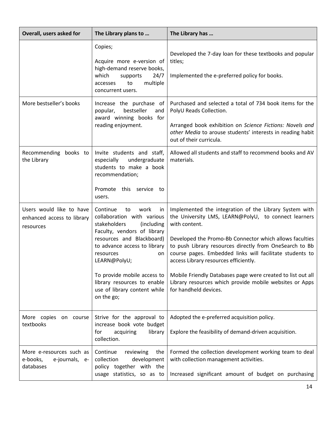| Overall, users asked for                                            | The Library plans to                                                                                                                                                                                                                                                                                                                | The Library has                                                                                                                                                                                                                                                                                                                                                                                                                                                                                               |
|---------------------------------------------------------------------|-------------------------------------------------------------------------------------------------------------------------------------------------------------------------------------------------------------------------------------------------------------------------------------------------------------------------------------|---------------------------------------------------------------------------------------------------------------------------------------------------------------------------------------------------------------------------------------------------------------------------------------------------------------------------------------------------------------------------------------------------------------------------------------------------------------------------------------------------------------|
|                                                                     | Copies;<br>Acquire more e-version of<br>high-demand reserve books,<br>which<br>24/7<br>supports<br>multiple<br>to<br>accesses<br>concurrent users.                                                                                                                                                                                  | Developed the 7-day loan for these textbooks and popular<br>titles;<br>Implemented the e-preferred policy for books.                                                                                                                                                                                                                                                                                                                                                                                          |
| More bestseller's books                                             | Increase the purchase of<br>bestseller<br>popular,<br>and<br>award winning books for<br>reading enjoyment.                                                                                                                                                                                                                          | Purchased and selected a total of 734 book items for the<br>PolyU Reads Collection.<br>Arranged book exhibition on Science Fictions: Novels and<br>other Media to arouse students' interests in reading habit<br>out of their curricula.                                                                                                                                                                                                                                                                      |
| Recommending books to<br>the Library                                | Invite students and staff,<br>especially<br>undergraduate<br>students to make a book<br>recommendation;<br>Promote this service to<br>users.                                                                                                                                                                                        | Allowed all students and staff to recommend books and AV<br>materials.                                                                                                                                                                                                                                                                                                                                                                                                                                        |
| Users would like to have<br>enhanced access to library<br>resources | Continue<br>to<br>work<br>in<br>collaboration with various<br>stakeholders<br>(including<br>Faculty, vendors of library<br>resources and Blackboard)<br>to advance access to library<br>resources<br>on<br>LEARN@PolyU;<br>To provide mobile access to<br>library resources to enable<br>use of library content while<br>on the go; | Implemented the integration of the Library System with<br>the University LMS, LEARN@PolyU, to connect learners<br>with content.<br>Developed the Promo-Bb Connector which allows faculties<br>to push Library resources directly from OneSearch to Bb<br>course pages. Embedded links will facilitate students to<br>access Library resources efficiently.<br>Mobile Friendly Databases page were created to list out all<br>Library resources which provide mobile websites or Apps<br>for handheld devices. |
| More copies<br>on course<br>textbooks                               | Strive for the approval to<br>increase book vote budget<br>acquiring<br>library<br>for<br>collection.                                                                                                                                                                                                                               | Adopted the e-preferred acquisition policy.<br>Explore the feasibility of demand-driven acquisition.                                                                                                                                                                                                                                                                                                                                                                                                          |
| More e-resources such as<br>e-books,<br>e-journals, e-<br>databases | Continue<br>reviewing<br>the<br>collection<br>development<br>policy together with the<br>usage statistics, so as to                                                                                                                                                                                                                 | Formed the collection development working team to deal<br>with collection management activities.<br>Increased significant amount of budget on purchasing                                                                                                                                                                                                                                                                                                                                                      |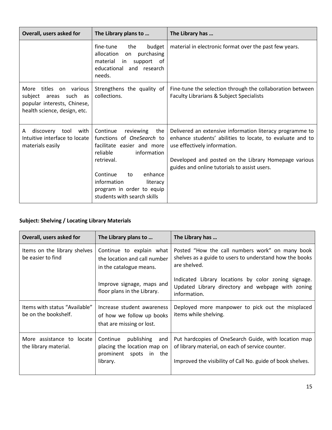| Overall, users asked for                                                                                                | The Library plans to                                                                                                                                                                                                                                        | The Library has                                                                                                                                                                                                                                               |
|-------------------------------------------------------------------------------------------------------------------------|-------------------------------------------------------------------------------------------------------------------------------------------------------------------------------------------------------------------------------------------------------------|---------------------------------------------------------------------------------------------------------------------------------------------------------------------------------------------------------------------------------------------------------------|
|                                                                                                                         | fine-tune<br>the<br>budget<br>allocation<br>purchasing<br>on<br>material<br>in<br>support of<br>educational and research<br>needs.                                                                                                                          | material in electronic format over the past few years.                                                                                                                                                                                                        |
| titles on various<br>More<br>such as<br>subject<br>areas<br>popular interests, Chinese,<br>health science, design, etc. | Strengthens the quality of<br>collections.                                                                                                                                                                                                                  | Fine-tune the selection through the collaboration between<br>Faculty Librarians & Subject Specialists                                                                                                                                                         |
| discovery tool with<br>A<br>Intuitive interface to locate<br>materials easily                                           | Continue<br>reviewing<br>the<br>functions of <i>OneSearch</i> to<br>facilitate easier and more<br>reliable<br>information<br>retrieval.<br>Continue<br>enhance<br>to<br>information<br>literacy<br>program in order to equip<br>students with search skills | Delivered an extensive information literacy programme to<br>enhance students' abilities to locate, to evaluate and to<br>use effectively information.<br>Developed and posted on the Library Homepage various<br>guides and online tutorials to assist users. |

# **Subject: Shelving / Locating Library Materials**

| Overall, users asked for                              | The Library plans to                                                                                     | The Library has                                                                                                                                                        |
|-------------------------------------------------------|----------------------------------------------------------------------------------------------------------|------------------------------------------------------------------------------------------------------------------------------------------------------------------------|
| Items on the library shelves<br>be easier to find     | Continue to explain what<br>the location and call number<br>in the catalogue means.                      | Posted "How the call numbers work" on many book<br>shelves as a guide to users to understand how the books<br>are shelved.                                             |
|                                                       | Improve signage, maps and<br>floor plans in the Library.                                                 | Indicated Library locations by color zoning signage.<br>Updated Library directory and webpage with zoning<br>information.                                              |
| Items with status "Available"<br>be on the bookshelf. | Increase student awareness<br>of how we follow up books<br>that are missing or lost.                     | Deployed more manpower to pick out the misplaced<br>items while shelving.                                                                                              |
| More assistance to locate<br>the library material.    | Continue<br>publishing<br>and<br>placing the location map on<br>prominent<br>spots<br>in the<br>library. | Put hardcopies of OneSearch Guide, with location map<br>of library material, on each of service counter.<br>Improved the visibility of Call No. guide of book shelves. |
|                                                       |                                                                                                          |                                                                                                                                                                        |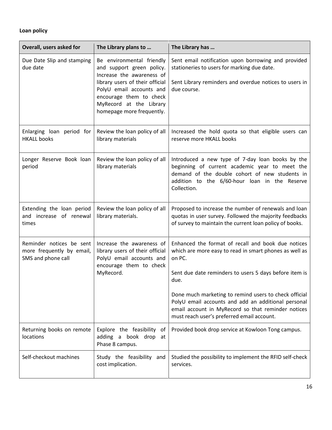### **Loan policy**

| Overall, users asked for                                                    | The Library plans to                                                                                                                                                                                                                  | The Library has                                                                                                                                                                                                      |
|-----------------------------------------------------------------------------|---------------------------------------------------------------------------------------------------------------------------------------------------------------------------------------------------------------------------------------|----------------------------------------------------------------------------------------------------------------------------------------------------------------------------------------------------------------------|
| Due Date Slip and stamping<br>due date                                      | Be environmental friendly<br>and support green policy.<br>Increase the awareness of<br>library users of their official<br>PolyU email accounts and<br>encourage them to check<br>MyRecord at the Library<br>homepage more frequently. | Sent email notification upon borrowing and provided<br>stationeries to users for marking due date.<br>Sent Library reminders and overdue notices to users in<br>due course.                                          |
| Enlarging loan period for<br><b>HKALL books</b>                             | Review the loan policy of all<br>library materials                                                                                                                                                                                    | Increased the hold quota so that eligible users can<br>reserve more HKALL books                                                                                                                                      |
| Longer Reserve Book loan<br>period                                          | Review the loan policy of all<br>library materials                                                                                                                                                                                    | Introduced a new type of 7-day loan books by the<br>beginning of current academic year to meet the<br>demand of the double cohort of new students in<br>addition to the 6/60-hour loan in the Reserve<br>Collection. |
| Extending the loan period<br>and increase of renewal<br>times               | Review the loan policy of all<br>library materials.                                                                                                                                                                                   | Proposed to increase the number of renewals and loan<br>quotas in user survey. Followed the majority feedbacks<br>of survey to maintain the current loan policy of books.                                            |
| Reminder notices be sent<br>more frequently by email,<br>SMS and phone call | Increase the awareness of<br>library users of their official<br>PolyU email accounts and<br>encourage them to check<br>MyRecord.                                                                                                      | Enhanced the format of recall and book due notices<br>which are more easy to read in smart phones as well as<br>on PC.<br>Sent due date reminders to users 5 days before item is<br>due.                             |
|                                                                             |                                                                                                                                                                                                                                       | Done much marketing to remind users to check official<br>PolyU email accounts and add an additional personal<br>email account in MyRecord so that reminder notices<br>must reach user's preferred email account.     |
| Returning books on remote<br>locations                                      | Explore the feasibility of<br>adding a book drop at<br>Phase 8 campus.                                                                                                                                                                | Provided book drop service at Kowloon Tong campus.                                                                                                                                                                   |
| Self-checkout machines                                                      | Study the feasibility and<br>cost implication.                                                                                                                                                                                        | Studied the possibility to implement the RFID self-check<br>services.                                                                                                                                                |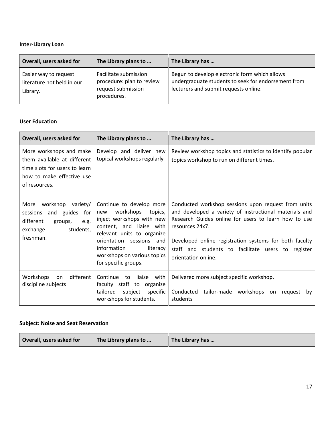## **Inter-Library Loan**

| Overall, users asked for                                        | The Library plans to                                                                    | The Library has                                                                                                                               |
|-----------------------------------------------------------------|-----------------------------------------------------------------------------------------|-----------------------------------------------------------------------------------------------------------------------------------------------|
| Easier way to request<br>literature not held in our<br>Library. | Facilitate submission<br>procedure: plan to review<br>request submission<br>procedures. | Begun to develop electronic form which allows<br>undergraduate students to seek for endorsement from<br>lecturers and submit requests online. |

#### **User Education**

| Overall, users asked for                                                                                                              | The Library plans to                                                                                                                                                                                                                                            | The Library has                                                                                                                                                                                                                                                                                                                 |
|---------------------------------------------------------------------------------------------------------------------------------------|-----------------------------------------------------------------------------------------------------------------------------------------------------------------------------------------------------------------------------------------------------------------|---------------------------------------------------------------------------------------------------------------------------------------------------------------------------------------------------------------------------------------------------------------------------------------------------------------------------------|
| More workshops and make<br>them available at different<br>time slots for users to learn<br>how to make effective use<br>of resources. | Develop and deliver new<br>topical workshops regularly                                                                                                                                                                                                          | Review workshop topics and statistics to identify popular<br>topics workshop to run on different times.                                                                                                                                                                                                                         |
| workshop variety/<br>More<br>sessions and guides<br>for<br>different<br>groups,<br>e.g.<br>students,<br>exchange<br>freshman.         | Continue to develop more<br>workshops<br>topics,<br>new<br>inject workshops with new<br>content, and liaise with<br>relevant units to organize<br>orientation sessions<br>and<br>information<br>literacy<br>workshops on various topics<br>for specific groups. | Conducted workshop sessions upon request from units<br>and developed a variety of instructional materials and<br>Research Guides online for users to learn how to use<br>resources 24x7.<br>Developed online registration systems for both faculty<br>staff and students to facilitate users to register<br>orientation online. |
| different  <br>Workshops<br>on<br>discipline subjects                                                                                 | with<br>Continue<br>liaise<br>to<br>faculty staff<br>to<br>organize<br>tailored<br>subject<br>specific<br>workshops for students.                                                                                                                               | Delivered more subject specific workshop.<br>Conducted tailor-made workshops<br>on<br>request<br>by<br>students                                                                                                                                                                                                                 |

#### **Subject: Noise and Seat Reservation**

| Overall, users asked for<br>The Library has<br>The Library plans to |
|---------------------------------------------------------------------|
|---------------------------------------------------------------------|